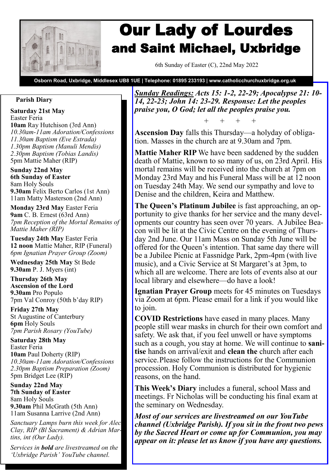

# Our Lady of Lourdes and Saint Michael, Uxbridge

6th Sunday of Easter (C), 22nd May 2022

**Osborn Road, Uxbridge, Middlesex UB8 1UE | Telephone: 01895 233193 | www.catholicchurchuxbridge.org.uk**

## **Parish Diary**

**Saturday 21st May**  Easter Feria **10am** Ray Hutchison (3rd Ann) *10.30am-11am Adoration/Confessions 11.30am Baptism (Eve Estrada) 1.30pm Baptism (Manuli Mendis) 2.30pm Baptism (Tobias Landis)* 5pm Mattie Maher (RIP)

**Sunday 22nd May 6th Sunday of Easter** 8am Holy Souls **9.30am** Felix Berto Carlos (1st Ann) 11am Matty Masterson (2nd Ann)

**Monday 23rd May** Easter Feria **9am** C. B. Ernest (63rd Ann) *7pm Reception of the Mortal Remains of Mattie Maher (RIP)*

**Tuesday 24th May** Easter Feria **12 noon** Mattie Maher, RIP (Funeral) *6pm Ignatian Prayer Group (Zoom)*

**Wednesday 25th May** St Bede **9.30am** P. J. Myers (int)

**Thursday 26th May Ascension of the Lord 9.30am** Pro Populo 7pm Val Conroy (50th b'day RIP)

**Friday 27th May**  St Augustine of Canterbury **6pm** Holy Souls *7pm Parish Rosary (YouTube)*

**Saturday 28th May**  Easter Feria **10am** Paul Doherty (RIP) *10.30am-11am Adoration/Confessions 2.30pm Baptism Preparation (Zoom)* 5pm Bridget Lee (RIP)

**Sunday 22nd May 7th Sunday of Easter** 8am Holy Souls **9.30am** Phil McGrath (5th Ann) 11am Susanna Larrive (2nd Ann)

*Sanctuary Lamps burn this week for Alec Clay, RIP (Bl Sacrament) & Adrian Martins, int (Our Lady).*

*Services in bold are livestreamed on the 'Uxbridge Parish' YouTube channel.*

*Sunday Readings: Acts 15: 1-2, 22-29; Apocalypse 21: 10- 14, 22-23; John 14: 23-29. Response: Let the peoples praise you, O God; let all the peoples praise you.*

+ + + +

**Ascension Day** falls this Thursday—a holyday of obligation. Masses in the church are at 9.30am and 7pm.

**Mattie Maher RIP** We have been saddened by the sudden death of Mattie, known to so many of us, on 23rd April. His mortal remains will be received into the church at 7pm on Monday 23rd May and his Funeral Mass will be at 12 noon on Tuesday 24th May. We send our sympathy and love to Denise and the children, Keira and Matthew.

**The Queen's Platinum Jubilee** is fast approaching, an opportunity to give thanks for her service and the many developments our country has seen over 70 years. A Jubilee Beacon will be lit at the Civic Centre on the evening of Thursday 2nd June. Our 11am Mass on Sunday 5th June will be offered for the Queen's intention. That same day there will be a Jubilee Picnic at Fassnidge Park, 2pm-4pm (with live music), and a Civic Service at St Margaret's at 3pm, to which all are welcome. There are lots of events also at our local library and elsewhere—do have a look!

**Ignatian Prayer Group** meets for 45 minutes on Tuesdays via Zoom at 6pm. Please email for a link if you would like to join.

**COVID Restrictions** have eased in many places. Many people still wear masks in church for their own comfort and safety. We ask that, if you feel unwell or have symptoms such as a cough, you stay at home. We will continue to **sanitise** hands on arrival/exit and **clean the** church after each service.Please follow the instructions for the Communion procession. Holy Communion is distributed for hygienic reasons, on the hand.

**This Week's Diary** includes a funeral, school Mass and meetings. Fr Nicholas will be conducting his final exam at the seminary on Wednesday.

*Most of our services are livestreamed on our YouTube channel (Uxbridge Parish). If you sit in the front two pews by the Sacred Heart or come up for Communion, you may appear on it: please let us know if you have any questions.*